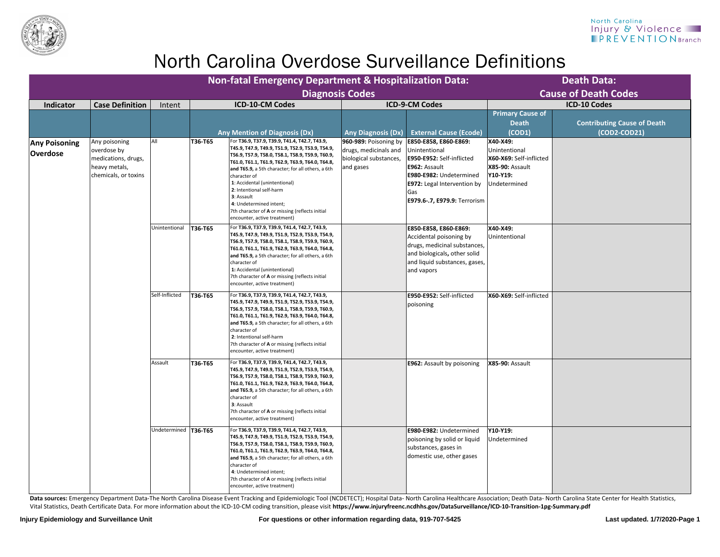Data sources: Emergency Department Data-The North Carolina Disease Event Tracking and Epidemiologic Tool (NCDETECT); Hospital Data- North Carolina Healthcare Association; Death Data- North Carolina State Center for Health Vital Statistics, Death Certificate Data. For more information about the ICD-10-CM coding transition, please visit **https://www.injuryfreenc.ncdhhs.gov/DataSurveillance/ICD-10-Transition-1pg-Summary.pdf**

|                                                                                                             | <b>Department &amp; Hospitalization Data:</b>                |                                                                                                                                                                                                                                    |                                                                                                     | <b>Death Data:</b>                 |
|-------------------------------------------------------------------------------------------------------------|--------------------------------------------------------------|------------------------------------------------------------------------------------------------------------------------------------------------------------------------------------------------------------------------------------|-----------------------------------------------------------------------------------------------------|------------------------------------|
| <b>Diagnosis Codes</b>                                                                                      |                                                              |                                                                                                                                                                                                                                    |                                                                                                     | <b>Cause of Death Codes</b>        |
|                                                                                                             |                                                              | <b>ICD-9-CM Codes</b>                                                                                                                                                                                                              |                                                                                                     | <b>ICD-10 Codes</b>                |
|                                                                                                             |                                                              |                                                                                                                                                                                                                                    | <b>Primary Cause of</b><br><b>Death</b>                                                             | <b>Contributing Cause of Death</b> |
| (Dx)                                                                                                        | <b>Any Diagnosis (Dx)</b>                                    | <b>External Cause (Ecode)</b>                                                                                                                                                                                                      | (COD1)                                                                                              | (COD2-COD21)                       |
| 42.7, T43.9,<br>, T53.9, T54.9,<br>, Т59.9, Т60.9,<br>, Т64.0, Т64.8,<br>ll others, a 6th                   | drugs, medicinals and<br>biological substances,<br>and gases | 960-989: Poisoning by   E850-E858, E860-E869:<br>Unintentional<br><b>E950-E952: Self-inflicted</b><br>E962: Assault<br>E980-E982: Undetermined<br><b>E972: Legal Intervention by</b><br>Gas<br><b>E979.6-.7, E979.9:</b> Terrorism | X40-X49:<br>Unintentional<br>X60-X69: Self-inflicted<br>X85-90: Assault<br>Y10-Y19:<br>Undetermined |                                    |
| flects initial                                                                                              |                                                              |                                                                                                                                                                                                                                    |                                                                                                     |                                    |
| 42.7, T43.9,<br>, T53.9, T54.9,<br>, Т59.9, Т60.9,<br>, Т64.0, Т64.8,<br>ll others, a 6th<br>flects initial |                                                              | E850-E858, E860-E869:<br>Accidental poisoning by<br>drugs, medicinal substances,<br>and biologicals, other solid<br>and liquid substances, gases,<br>and vapors                                                                    | X40-X49:<br>Unintentional                                                                           |                                    |
|                                                                                                             |                                                              |                                                                                                                                                                                                                                    |                                                                                                     |                                    |
| 42.7, T43.9,<br>, T53.9, T54.9,<br>, Т59.9, Т60.9,<br>, Т64.0, Т64.8,<br>ll others, a 6th<br>flects initial |                                                              | E950-E952: Self-inflicted<br>poisoning                                                                                                                                                                                             | X60-X69: Self-inflicted                                                                             |                                    |
| 42.7, T43.9,<br>, T53.9, T54.9,<br>, Т59.9, Т60.9,<br>, Т64.0, Т64.8,<br>ll others, a 6th<br>flects initial |                                                              | <b>E962: Assault by poisoning</b>                                                                                                                                                                                                  | <b>X85-90: Assault</b>                                                                              |                                    |
|                                                                                                             |                                                              |                                                                                                                                                                                                                                    |                                                                                                     |                                    |
| 42.7, T43.9,<br>, T53.9, T54.9,<br>, T59.9, T60.9,<br>, T64.0, T64.8,<br>ll others, a 6th<br>flects initial |                                                              | E980-E982: Undetermined<br>poisoning by solid or liquid<br>substances, gases in<br>domestic use, other gases                                                                                                                       | Y10-Y19:<br>Undetermined                                                                            |                                    |
|                                                                                                             |                                                              |                                                                                                                                                                                                                                    |                                                                                                     |                                    |

|                                         |                                                                                              |                        | Non-fatal Emergency Department & Hospitalization Data:                                                                                                                                                                                                                                                                                                                                                                                                                              |                                                                                       |                                                                                                                                                                                                     |                                                                                                     | <b>Death Data:</b>                                 |
|-----------------------------------------|----------------------------------------------------------------------------------------------|------------------------|-------------------------------------------------------------------------------------------------------------------------------------------------------------------------------------------------------------------------------------------------------------------------------------------------------------------------------------------------------------------------------------------------------------------------------------------------------------------------------------|---------------------------------------------------------------------------------------|-----------------------------------------------------------------------------------------------------------------------------------------------------------------------------------------------------|-----------------------------------------------------------------------------------------------------|----------------------------------------------------|
|                                         |                                                                                              |                        | <b>Diagnosis Codes</b>                                                                                                                                                                                                                                                                                                                                                                                                                                                              |                                                                                       |                                                                                                                                                                                                     |                                                                                                     | <b>Cause of Death Codes</b>                        |
| <b>Indicator</b>                        | <b>Case Definition</b>                                                                       | Intent                 | <b>ICD-10-CM Codes</b>                                                                                                                                                                                                                                                                                                                                                                                                                                                              |                                                                                       | <b>ICD-9-CM Codes</b>                                                                                                                                                                               |                                                                                                     | <b>ICD-10 Codes</b>                                |
|                                         |                                                                                              |                        | <b>Any Mention of Diagnosis (Dx)</b>                                                                                                                                                                                                                                                                                                                                                                                                                                                | <b>Any Diagnosis (Dx)</b>                                                             | <b>External Cause (Ecode)</b>                                                                                                                                                                       | <b>Primary Cause of</b><br><b>Death</b><br>(COD1)                                                   | <b>Contributing Cause of Death</b><br>(COD2-COD21) |
| <b>Any Poisoning</b><br><b>Overdose</b> | Any poisoning<br>overdose by<br>medications, drugs,<br>heavy metals,<br>chemicals, or toxins | All                    | For T36.9, T37.9, T39.9, T41.4, T42.7, T43.9,<br>T36-T65<br> T45.9, T47.9, T49.9, T51.9, T52.9, T53.9, T54.9,<br>T56.9, T57.9, T58.0, T58.1, T58.9, T59.9, T60.9,<br>Т61.0, Т61.1, Т61.9, Т62.9, Т63.9, Т64.0, Т64.8,<br>and T65.9, a 5th character; for all others, a 6th<br>character of<br>1: Accidental (unintentional)<br>2: Intentional self-harm<br>3: Assault<br>4: Undetermined intent;<br>7th character of A or missing (reflects initial<br>encounter, active treatment) | 960-989: Poisoning by<br>drugs, medicinals and<br>biological substances,<br>and gases | E850-E858, E860-E869:<br>Unintentional<br><b>E950-E952: Self-inflicted</b><br>E962: Assault<br>E980-E982: Undetermined<br><b>E972:</b> Legal Intervention by<br>Gas<br>E979.6-.7, E979.9: Terrorism | X40-X49:<br>Unintentional<br>X60-X69: Self-inflicted<br>X85-90: Assault<br>Y10-Y19:<br>Undetermined |                                                    |
|                                         |                                                                                              | Unintentional          | For T36.9, T37.9, T39.9, T41.4, T42.7, T43.9,<br>T36-T65<br> T45.9, T47.9, T49.9, T51.9, T52.9, T53.9, T54.9,<br>T56.9, T57.9, T58.0, T58.1, T58.9, T59.9, T60.9,<br>Т61.0, Т61.1, Т61.9, Т62.9, Т63.9, Т64.0, Т64.8,<br>and T65.9, a 5th character; for all others, a 6th<br>character of<br>1: Accidental (unintentional)<br>7th character of A or missing (reflects initial<br>encounter, active treatment)                                                                      |                                                                                       | E850-E858, E860-E869:<br>Accidental poisoning by<br>drugs, medicinal substances,<br>and biologicals, other solid<br>and liquid substances, gases,<br>and vapors                                     | X40-X49:<br>Unintentional                                                                           |                                                    |
|                                         |                                                                                              | Self-Inflicted         | T36-T65<br>For T36.9, T37.9, T39.9, T41.4, T42.7, T43.9,<br> T45.9, T47.9, T49.9, T51.9, T52.9, T53.9, T54.9,<br>T56.9, T57.9, T58.0, T58.1, T58.9, T59.9, T60.9,<br> Т61.0, Т61.1, Т61.9, Т62.9, Т63.9, Т64.0, Т64.8,<br>and T65.9, a 5th character; for all others, a 6th<br>character of<br>2: Intentional self-harm<br>7th character of A or missing (reflects initial<br>encounter, active treatment)                                                                          |                                                                                       | E950-E952: Self-inflicted<br>poisoning                                                                                                                                                              | X60-X69: Self-inflicted                                                                             |                                                    |
|                                         |                                                                                              | Assault                | For T36.9, T37.9, T39.9, T41.4, T42.7, T43.9,<br>T36-T65<br> T45.9, T47.9, T49.9, T51.9, T52.9, T53.9, T54.9,<br>T56.9, T57.9, T58.0, T58.1, T58.9, T59.9, T60.9,<br> Т61.0, Т61.1, Т61.9, Т62.9, Т63.9, Т64.0, Т64.8,<br>and T65.9, a 5th character; for all others, a 6th<br>character of<br>3: Assault<br>7th character of A or missing (reflects initial<br>encounter, active treatment)                                                                                        |                                                                                       | <b>E962: Assault by poisoning</b>                                                                                                                                                                   | <b>X85-90: Assault</b>                                                                              |                                                    |
|                                         |                                                                                              | Undetermined   T36-T65 | For T36.9, T37.9, T39.9, T41.4, T42.7, T43.9,<br> T45.9, T47.9, T49.9, T51.9, T52.9, T53.9, T54.9,<br> T56.9, T57.9, T58.0, T58.1, T58.9, T59.9, T60.9,<br> Т61.0, Т61.1, Т61.9, Т62.9, Т63.9, Т64.0, Т64.8,<br>and T65.9, a 5th character; for all others, a 6th<br>character of<br>4: Undetermined intent;<br>7th character of A or missing (reflects initial<br>encounter, active treatment)                                                                                     |                                                                                       | E980-E982: Undetermined<br>poisoning by solid or liquid<br>substances, gases in<br>domestic use, other gases                                                                                        | Y10-Y19:<br>Undetermined                                                                            |                                                    |



# North Carolina Overdose Surveillance Definitions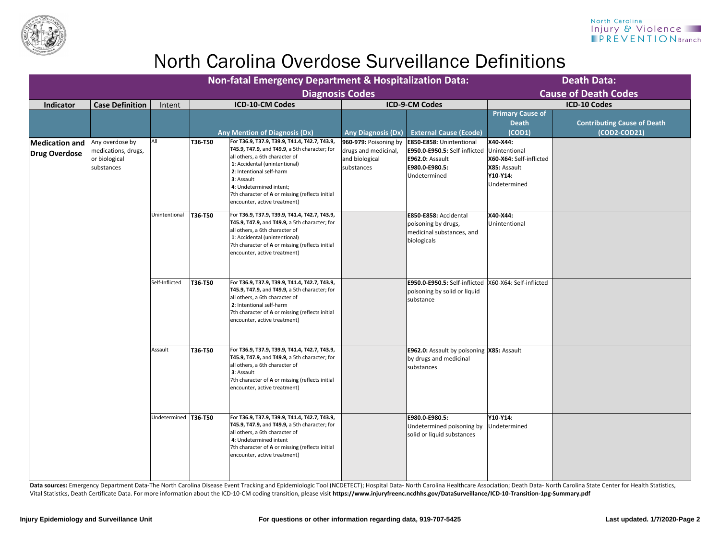

Data sources: Emergency Department Data-The North Carolina Disease Event Tracking and Epidemiologic Tool (NCDETECT); Hospital Data- North Carolina Healthcare Association; Death Data- North Carolina State Center for Health Vital Statistics, Death Certificate Data. For more information about the ICD-10-CM coding transition, please visit **https://www.injuryfreenc.ncdhhs.gov/DataSurveillance/ICD-10-Transition-1pg-Summary.pdf**

|                                               |                                                                       |                        |                | <b>Death Data:</b><br><b>Cause of Death Codes</b>                                                                                                                                                                                                                                                                                       |                                                                               |                                                                                                                              |                                                                                                  |                                                    |
|-----------------------------------------------|-----------------------------------------------------------------------|------------------------|----------------|-----------------------------------------------------------------------------------------------------------------------------------------------------------------------------------------------------------------------------------------------------------------------------------------------------------------------------------------|-------------------------------------------------------------------------------|------------------------------------------------------------------------------------------------------------------------------|--------------------------------------------------------------------------------------------------|----------------------------------------------------|
| <b>Indicator</b>                              | <b>Case Definition</b>                                                | Intent                 |                | Diagnosis Codes<br><b>ICD-10-CM Codes</b>                                                                                                                                                                                                                                                                                               |                                                                               | <b>ICD-9-CM Codes</b>                                                                                                        |                                                                                                  | <b>ICD-10 Codes</b>                                |
|                                               |                                                                       |                        |                | <b>Any Mention of Diagnosis (Dx)</b>                                                                                                                                                                                                                                                                                                    | <b>Any Diagnosis (Dx)</b>                                                     | <b>External Cause (Ecode)</b>                                                                                                | <b>Primary Cause of</b><br><b>Death</b><br>(COD1)                                                | <b>Contributing Cause of Death</b><br>(COD2-COD21) |
| <b>Medication and</b><br><b>Drug Overdose</b> | Any overdose by<br>medications, drugs,<br>or biological<br>substances | All                    | <b>T36-T50</b> | For T36.9, T37.9, T39.9, T41.4, T42.7, T43.9,<br><b>T45.9, T47.9, and T49.9, a 5th character; for</b><br>all others, a 6th character of<br>1: Accidental (unintentional)<br>2: Intentional self-harm<br>3: Assault<br>4: Undetermined intent;<br>7th character of <b>A</b> or missing (reflects initial<br>encounter, active treatment) | 960-979: Poisoning by<br>drugs and medicinal,<br>and biological<br>substances | <b>E850-E858: Unintentional</b><br>E950.0-E950.5: Self-inflicted<br><b>E962.0: Assault</b><br>E980.0-E980.5:<br>Undetermined | X40-X44:<br>Unintentional<br>X60-X64: Self-inflicted<br>X85: Assault<br>Y10-Y14:<br>Undetermined |                                                    |
|                                               |                                                                       | Unintentional          | <b>T36-T50</b> | For T36.9, T37.9, T39.9, T41.4, T42.7, T43.9,<br><b>T45.9, T47.9, and T49.9, a 5th character; for</b><br>all others, a 6th character of<br>1: Accidental (unintentional)<br>7th character of A or missing (reflects initial<br>encounter, active treatment)                                                                             |                                                                               | <b>E850-E858: Accidental</b><br>poisoning by drugs,<br>medicinal substances, and<br>biologicals                              | X40-X44:<br>Unintentional                                                                        |                                                    |
|                                               |                                                                       | Self-Inflicted         | <b>T36-T50</b> | For T36.9, T37.9, T39.9, T41.4, T42.7, T43.9,<br><b>T45.9, T47.9, and T49.9, a 5th character; for</b><br>all others, a 6th character of<br>2: Intentional self-harm<br>7th character of <b>A</b> or missing (reflects initial<br>encounter, active treatment)                                                                           |                                                                               | E950.0-E950.5: Self-inflicted  X60-X64: Self-inflicted<br>poisoning by solid or liquid<br>substance                          |                                                                                                  |                                                    |
|                                               |                                                                       | Assault                | T36-T50        | For T36.9, T37.9, T39.9, T41.4, T42.7, T43.9,<br><b>T45.9, T47.9, and T49.9, a 5th character; for</b><br>all others, a 6th character of<br>3: Assault<br>7th character of <b>A</b> or missing (reflects initial<br>encounter, active treatment)                                                                                         |                                                                               | <b>E962.0:</b> Assault by poisoning <b>X85:</b> Assault<br>by drugs and medicinal<br>substances                              |                                                                                                  |                                                    |
|                                               |                                                                       | Undetermined   T36-T50 |                | For T36.9, T37.9, T39.9, T41.4, T42.7, T43.9,<br><b>T45.9, T47.9, and T49.9, a 5th character; for</b><br>all others, a 6th character of<br>4: Undetermined intent<br>7th character of A or missing (reflects initial<br>encounter, active treatment)                                                                                    |                                                                               | E980.0-E980.5:<br>Undetermined poisoning by<br>solid or liquid substances                                                    | <b>Y10-Y14:</b><br>Undetermined                                                                  |                                                    |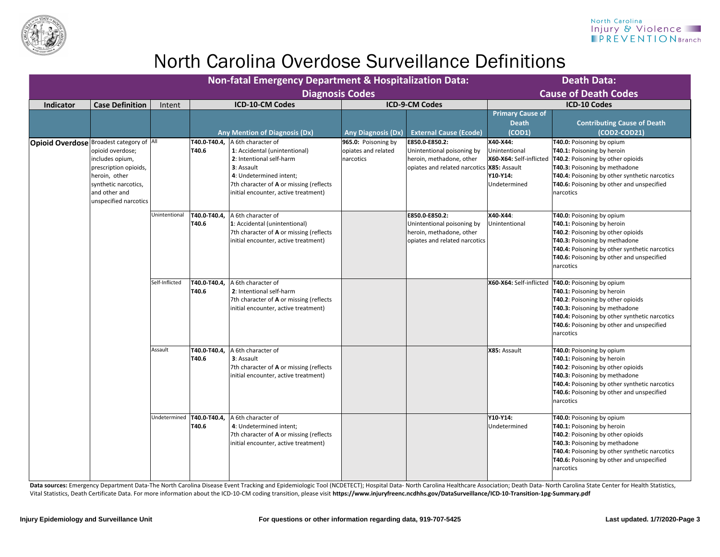

Data sources: Emergency Department Data-The North Carolina Disease Event Tracking and Epidemiologic Tool (NCDETECT); Hospital Data- North Carolina Healthcare Association; Death Data- North Carolina State Center for Health Vital Statistics, Death Certificate Data. For more information about the ICD-10-CM coding transition, please visit **https://www.injuryfreenc.ncdhhs.gov/DataSurveillance/ICD-10-Transition-1pg-Summary.pdf**

|                  |                                                                                                                                                                              |                | <b>Non-fatal Emergency Department &amp; Hospitalization Data:</b> |                                                                                                                                                                                                                            | <b>Death Data:</b><br><b>Cause of Death Codes</b>       |                                                                                                                          |                                                                                  |                                                                                                                                                                                                                                                                                                       |
|------------------|------------------------------------------------------------------------------------------------------------------------------------------------------------------------------|----------------|-------------------------------------------------------------------|----------------------------------------------------------------------------------------------------------------------------------------------------------------------------------------------------------------------------|---------------------------------------------------------|--------------------------------------------------------------------------------------------------------------------------|----------------------------------------------------------------------------------|-------------------------------------------------------------------------------------------------------------------------------------------------------------------------------------------------------------------------------------------------------------------------------------------------------|
| <b>Indicator</b> | <b>Case Definition</b>                                                                                                                                                       | Intent         |                                                                   | <b>Diagnosis Codes</b><br><b>ICD-10-CM Codes</b>                                                                                                                                                                           |                                                         | <b>ICD-9-CM Codes</b>                                                                                                    |                                                                                  | <b>ICD-10 Codes</b>                                                                                                                                                                                                                                                                                   |
|                  |                                                                                                                                                                              |                |                                                                   | <b>Any Mention of Diagnosis (Dx)</b>                                                                                                                                                                                       | <b>Any Diagnosis (Dx)</b>                               | <b>External Cause (Ecode)</b>                                                                                            | <b>Primary Cause of</b><br><b>Death</b><br>(COD1)                                | <b>Contributing Cause of Death</b><br>(COD2-COD21)                                                                                                                                                                                                                                                    |
| Opioid Overdose  | Broadest category of  All<br>opioid overdose;<br>includes opium,<br>prescription opioids,<br>heroin, other<br>synthetic narcotics,<br>and other and<br>unspecified narcotics |                | T40.0-T40.4,<br>T40.6                                             | A 6th character of<br>1: Accidental (unintentional)<br>2: Intentional self-harm<br><b>3</b> : Assault<br>4: Undetermined intent;<br>7th character of <b>A</b> or missing (reflects<br>initial encounter, active treatment) | 965.0: Poisoning by<br>opiates and related<br>narcotics | E850.0-E850.2:<br>Unintentional poisoning by<br>heroin, methadone, other<br>opiates and related narcotics   X85: Assault | X40-X44:<br>Unintentional<br>X60-X64: Self-inflicted<br>Y10-Y14:<br>Undetermined | T40.0: Poisoning by opium<br><b>T40.1: Poisoning by heroin</b><br><b>T40.2: Poisoning by other opioids</b><br><b>T40.3: Poisoning by methadone</b><br><b>T40.4:</b> Poisoning by other synthetic narcotics<br><b>T40.6:</b> Poisoning by other and unspecified<br>narcotics                           |
|                  |                                                                                                                                                                              | Unintentional  | T40.0-T40.4,<br>T40.6                                             | A 6th character of<br>1: Accidental (unintentional)<br>7th character of A or missing (reflects<br>initial encounter, active treatment)                                                                                     |                                                         | E850.0-E850.2:<br>Unintentional poisoning by<br>heroin, methadone, other<br>opiates and related narcotics                | X40-X44:<br>Unintentional                                                        | T40.0: Poisoning by opium<br><b>T40.1: Poisoning by heroin</b><br>T40.2: Poisoning by other opioids<br><b>T40.3: Poisoning by methadone</b><br><b>T40.4:</b> Poisoning by other synthetic narcotics<br><b>T40.6:</b> Poisoning by other and unspecified<br><b>narcotics</b>                           |
|                  |                                                                                                                                                                              | Self-Inflicted | T40.0-T40.4,<br>T40.6                                             | A 6th character of<br>2: Intentional self-harm<br>7th character of A or missing (reflects<br>initial encounter, active treatment)                                                                                          |                                                         |                                                                                                                          |                                                                                  | X60-X64: Self-inflicted   T40.0: Poisoning by opium<br><b>T40.1: Poisoning by heroin</b><br><b>T40.2: Poisoning by other opioids</b><br><b>T40.3: Poisoning by methadone</b><br><b>T40.4:</b> Poisoning by other synthetic narcotics<br><b>T40.6:</b> Poisoning by other and unspecified<br>narcotics |
|                  |                                                                                                                                                                              | Assault        | T40.0-T40.4,<br>T40.6                                             | A 6th character of<br><b>3</b> : Assault<br>7th character of <b>A</b> or missing (reflects<br>initial encounter, active treatment)                                                                                         |                                                         |                                                                                                                          | X85: Assault                                                                     | T40.0: Poisoning by opium<br><b>T40.1: Poisoning by heroin</b><br><b>T40.2: Poisoning by other opioids</b><br><b>T40.3: Poisoning by methadone</b><br><b>T40.4:</b> Poisoning by other synthetic narcotics<br><b>T40.6:</b> Poisoning by other and unspecified<br>narcotics                           |
|                  |                                                                                                                                                                              |                | Undetermined   T40.0-T40.4,<br>T40.6                              | A 6th character of<br>4: Undetermined intent;<br>7th character of A or missing (reflects<br>initial encounter, active treatment)                                                                                           |                                                         |                                                                                                                          | Y10-Y14:<br>Undetermined                                                         | T40.0: Poisoning by opium<br><b>T40.1: Poisoning by heroin</b><br><b>T40.2: Poisoning by other opioids</b><br><b>T40.3: Poisoning by methadone</b><br><b>T40.4:</b> Poisoning by other synthetic narcotics<br><b>T40.6:</b> Poisoning by other and unspecified<br>narcotics                           |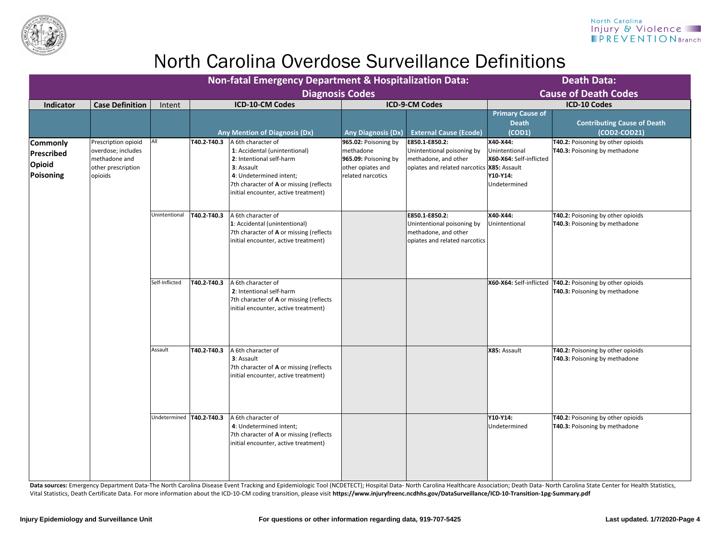

Data sources: Emergency Department Data-The North Carolina Disease Event Tracking and Epidemiologic Tool (NCDETECT); Hospital Data- North Carolina Healthcare Association; Death Data- North Carolina State Center for Health Vital Statistics, Death Certificate Data. For more information about the ICD-10-CM coding transition, please visit **https://www.injuryfreenc.ncdhhs.gov/DataSurveillance/ICD-10-Transition-1pg-Summary.pdf**

|                                                      |                                                                                             |                            | <b>Non-fatal Emergency Department &amp; Hospitalization Data:</b> |                                                                                                                                                                                                             | <b>Death Data:</b>                                                                                  |                                                                                                                      |                                                                                  |                                                                                                     |
|------------------------------------------------------|---------------------------------------------------------------------------------------------|----------------------------|-------------------------------------------------------------------|-------------------------------------------------------------------------------------------------------------------------------------------------------------------------------------------------------------|-----------------------------------------------------------------------------------------------------|----------------------------------------------------------------------------------------------------------------------|----------------------------------------------------------------------------------|-----------------------------------------------------------------------------------------------------|
|                                                      |                                                                                             |                            |                                                                   | <b>Diagnosis Codes</b>                                                                                                                                                                                      |                                                                                                     |                                                                                                                      |                                                                                  | <b>Cause of Death Codes</b>                                                                         |
| <b>Indicator</b>                                     | <b>Case Definition</b>                                                                      | Intent                     |                                                                   | <b>ICD-10-CM Codes</b>                                                                                                                                                                                      |                                                                                                     | <b>ICD-9-CM Codes</b>                                                                                                |                                                                                  | <b>ICD-10 Codes</b>                                                                                 |
|                                                      |                                                                                             |                            |                                                                   | <b>Any Mention of Diagnosis (Dx)</b>                                                                                                                                                                        | <b>Any Diagnosis (Dx)</b>                                                                           | <b>External Cause (Ecode)</b>                                                                                        | <b>Primary Cause of</b><br><b>Death</b><br>(COD1)                                | <b>Contributing Cause of Death</b><br>(COD2-COD21)                                                  |
| <b>Commonly</b><br>Prescribed<br>Opioid<br>Poisoning | Prescription opioid<br>overdose; includes<br>methadone and<br>other prescription<br>opioids | All                        | T40.2-T40.3                                                       | A 6th character of<br>1: Accidental (unintentional)<br>2: Intentional self-harm<br>3: Assault<br>4: Undetermined intent;<br>7th character of A or missing (reflects<br>initial encounter, active treatment) | 965.02: Poisoning by<br>methadone<br>965.09: Poisoning by<br>other opiates and<br>related narcotics | E850.1-E850.2:<br>Unintentional poisoning by<br>methadone, and other<br>opiates and related narcotics   X85: Assault | X40-X44:<br>Unintentional<br>X60-X64: Self-inflicted<br>Y10-Y14:<br>Undetermined | T40.2: Poisoning by other opioids<br><b>T40.3: Poisoning by methadone</b>                           |
|                                                      |                                                                                             | Unintentional              | T40.2-T40.3                                                       | A 6th character of<br>1: Accidental (unintentional)<br>7th character of A or missing (reflects<br>initial encounter, active treatment)                                                                      |                                                                                                     | E850.1-E850.2:<br>Unintentional poisoning by<br>methadone, and other<br> opiates and related narcotics               | X40-X44:<br>Unintentional                                                        | T40.2: Poisoning by other opioids<br><b>T40.3: Poisoning by methadone</b>                           |
|                                                      |                                                                                             | Self-Inflicted             | T40.2-T40.3                                                       | A 6th character of<br>2: Intentional self-harm<br>7th character of A or missing (reflects<br>initial encounter, active treatment)                                                                           |                                                                                                     |                                                                                                                      |                                                                                  | X60-X64: Self-inflicted   T40.2: Poisoning by other opioids<br><b>T40.3: Poisoning by methadone</b> |
|                                                      |                                                                                             | Assault                    | T40.2-T40.3                                                       | A 6th character of<br>3: Assault<br>7th character of A or missing (reflects<br>initial encounter, active treatment)                                                                                         |                                                                                                     |                                                                                                                      | X85: Assault                                                                     | T40.2: Poisoning by other opioids<br>T40.3: Poisoning by methadone                                  |
|                                                      |                                                                                             | Undetermined   T40.2-T40.3 |                                                                   | A 6th character of<br>4: Undetermined intent;<br>7th character of <b>A</b> or missing (reflects<br>initial encounter, active treatment)                                                                     |                                                                                                     |                                                                                                                      | <b>Y10-Y14:</b><br>Undetermined                                                  | T40.2: Poisoning by other opioids<br><b>T40.3: Poisoning by methadone</b>                           |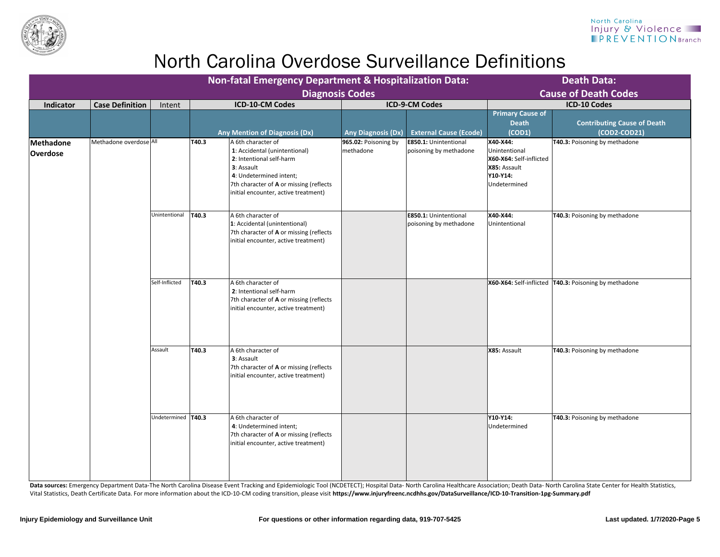|                   |                        |                      | <b>Non-fatal Emergency Department &amp; Hospitalization Data:</b> |                                                                                                                                                                                                             | <b>Death Data:</b>                |                                                        |                                                                                                  |                                                                           |
|-------------------|------------------------|----------------------|-------------------------------------------------------------------|-------------------------------------------------------------------------------------------------------------------------------------------------------------------------------------------------------------|-----------------------------------|--------------------------------------------------------|--------------------------------------------------------------------------------------------------|---------------------------------------------------------------------------|
|                   |                        |                      |                                                                   |                                                                                                                                                                                                             | <b>Diagnosis Codes</b>            |                                                        |                                                                                                  | <b>Cause of Death Codes</b>                                               |
| Indicator         | <b>Case Definition</b> | Intent               |                                                                   | <b>ICD-10-CM Codes</b><br><b>Any Mention of Diagnosis (Dx)</b>                                                                                                                                              | <b>Any Diagnosis (Dx)</b>         | <b>ICD-9-CM Codes</b><br><b>External Cause (Ecode)</b> | <b>Primary Cause of</b><br><b>Death</b><br>(COD1)                                                | <b>ICD-10 Codes</b><br><b>Contributing Cause of Death</b><br>(COD2-COD21) |
| thadone<br>erdose | Methadone overdose All |                      | T40.3                                                             | A 6th character of<br>1: Accidental (unintentional)<br>2: Intentional self-harm<br>3: Assault<br>4: Undetermined intent;<br>7th character of A or missing (reflects<br>initial encounter, active treatment) | 965.02: Poisoning by<br>methadone | <b>E850.1: Unintentional</b><br>poisoning by methadone | X40-X44:<br>Unintentional<br>X60-X64: Self-inflicted<br>X85: Assault<br>Y10-Y14:<br>Undetermined | <b>T40.3: Poisoning by methadone</b>                                      |
|                   |                        | Unintentional        | <b>T40.3</b>                                                      | A 6th character of<br>1: Accidental (unintentional)<br>7th character of A or missing (reflects<br>initial encounter, active treatment)                                                                      |                                   | <b>E850.1: Unintentional</b><br>poisoning by methadone | X40-X44:<br>Unintentional                                                                        | <b>T40.3: Poisoning by methadone</b>                                      |
|                   |                        | Self-Inflicted       | T40.3                                                             | A 6th character of<br>2: Intentional self-harm<br>7th character of A or missing (reflects<br>initial encounter, active treatment)                                                                           |                                   |                                                        |                                                                                                  | X60-X64: Self-inflicted   T40.3: Poisoning by methadone                   |
|                   |                        | Assault              | T40.3                                                             | A 6th character of<br>3: Assault<br>7th character of A or missing (reflects<br>initial encounter, active treatment)                                                                                         |                                   |                                                        | X85: Assault                                                                                     | <b>T40.3: Poisoning by methadone</b>                                      |
|                   |                        | Undetermined   T40.3 |                                                                   | A 6th character of<br>4: Undetermined intent;<br>7th character of A or missing (reflects<br>initial encounter, active treatment)                                                                            |                                   |                                                        | Y10-Y14:<br>Undetermined                                                                         | <b>T40.3: Poisoning by methadone</b>                                      |

|                                                                                                      | 7th character of <b>A</b> or mis<br>initial encounter, active t |
|------------------------------------------------------------------------------------------------------|-----------------------------------------------------------------|
|                                                                                                      |                                                                 |
|                                                                                                      |                                                                 |
|                                                                                                      |                                                                 |
|                                                                                                      |                                                                 |
| <b>Data sources:</b> Emergency Department Data-The North Carolina Disease Event Tracking and Epidem  |                                                                 |
| Vital Statistics, Death Certificate Data. For more information about the ICD-10-CM coding transition |                                                                 |



**Methadone** 

**Overdose**

### North Carolina Injury & Violence **IPREVENTION** Branch

miologic Tool (NCDETECT); Hospital Data- North Carolina Healthcare Association; Death Data- North Carolina State Center for Health Statistics, on, please visit **https://www.injuryfreenc.ncdhhs.gov/DataSurveillance/ICD-10-Transition-1pg-Summary.pdf**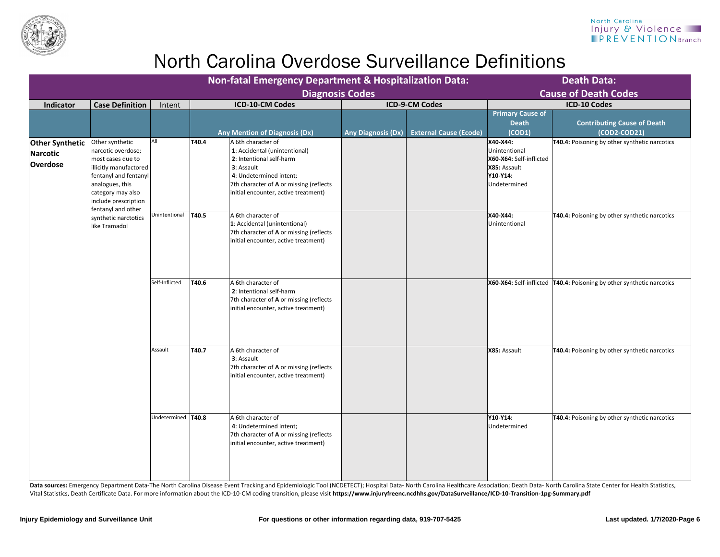

| <b>Diagnosis Codes</b>            | / Department & Hospitalization Data: |                               | <b>Death Data:</b><br><b>Cause of Death Codes</b>                                                |                                                                                     |  |  |  |
|-----------------------------------|--------------------------------------|-------------------------------|--------------------------------------------------------------------------------------------------|-------------------------------------------------------------------------------------|--|--|--|
|                                   |                                      | <b>ICD-9-CM Codes</b>         |                                                                                                  | <b>ICD-10 Codes</b>                                                                 |  |  |  |
| (Dx)                              | <b>Any Diagnosis (Dx)</b>            | <b>External Cause (Ecode)</b> | <b>Primary Cause of</b><br><b>Death</b><br>(COD1)                                                | <b>Contributing Cause of Death</b><br>(COD2-COD21)                                  |  |  |  |
| າal)<br>ing (reflects<br>eatment) |                                      |                               | X40-X44:<br>Unintentional<br>X60-X64: Self-inflicted<br>X85: Assault<br>Y10-Y14:<br>Undetermined | T40.4: Poisoning by other synthetic narcotics                                       |  |  |  |
| al)<br>ing (reflects<br>eatment)  |                                      |                               | X40-X44:<br>Unintentional                                                                        | T40.4: Poisoning by other synthetic narcotics                                       |  |  |  |
| ing (reflects<br>eatment)         |                                      |                               |                                                                                                  | <b>X60-X64:</b> Self-inflicted <b>T40.4:</b> Poisoning by other synthetic narcotics |  |  |  |
| ing (reflects<br>eatment)         |                                      |                               | X85: Assault                                                                                     | T40.4: Poisoning by other synthetic narcotics                                       |  |  |  |
| ing (reflects<br>eatment)         |                                      |                               | Y10-Y14:<br>Undetermined                                                                         | T40.4: Poisoning by other synthetic narcotics                                       |  |  |  |

Data sources: Emergency Department Data-The North Carolina Disease Event Tracking and Epidemiologic Tool (NCDETECT); Hospital Data- North Carolina Healthcare Association; Death Data- North Carolina State Center for Health Vital Statistics, Death Certificate Data. For more information about the ICD-10-CM coding transition, please visit **https://www.injuryfreenc.ncdhhs.gov/DataSurveillance/ICD-10-Transition-1pg-Summary.pdf**

|                                                              |                                                                                                                                                                                 | <b>Death Data:</b><br><b>Cause of Death Codes</b> |       |                                                                                                                                                                                                             |                           |                               |                                                                                                  |                                                                         |
|--------------------------------------------------------------|---------------------------------------------------------------------------------------------------------------------------------------------------------------------------------|---------------------------------------------------|-------|-------------------------------------------------------------------------------------------------------------------------------------------------------------------------------------------------------------|---------------------------|-------------------------------|--------------------------------------------------------------------------------------------------|-------------------------------------------------------------------------|
| <b>Indicator</b>                                             | <b>Case Definition</b>                                                                                                                                                          | Intent                                            |       | <b>Diagnosis Codes</b><br><b>ICD-10-CM Codes</b>                                                                                                                                                            |                           | <b>ICD-9-CM Codes</b>         |                                                                                                  | <b>ICD-10 Codes</b>                                                     |
|                                                              |                                                                                                                                                                                 |                                                   |       | <b>Any Mention of Diagnosis (Dx)</b>                                                                                                                                                                        | <b>Any Diagnosis (Dx)</b> | <b>External Cause (Ecode)</b> | <b>Primary Cause of</b><br><b>Death</b><br>(COD1)                                                | <b>Contributing Cause of Death</b><br>(COD2-COD21)                      |
| <b>Other Synthetic</b><br><b>Narcotic</b><br><b>Overdose</b> | Other synthetic<br>narcotic overdose;<br>most cases due to<br>illicitly manufactored  <br>fentanyl and fentanyl<br>analogues, this<br>category may also<br>include prescription | All                                               | T40.4 | A 6th character of<br>1: Accidental (unintentional)<br>2: Intentional self-harm<br>3: Assault<br>4: Undetermined intent;<br>7th character of A or missing (reflects<br>initial encounter, active treatment) |                           |                               | X40-X44:<br>Unintentional<br>X60-X64: Self-inflicted<br>X85: Assault<br>Y10-Y14:<br>Undetermined | T40.4: Poisoning by other synthetic narcotics                           |
|                                                              | fentanyl and other<br>synthetic narctotics<br>like Tramadol                                                                                                                     | Unintentional                                     | T40.5 | A 6th character of<br>1: Accidental (unintentional)<br>7th character of A or missing (reflects<br>initial encounter, active treatment)                                                                      |                           |                               | X40-X44:<br>Unintentional                                                                        | <b>T40.4:</b> Poisoning by other synthetic narcotics                    |
|                                                              |                                                                                                                                                                                 | Self-Inflicted                                    | T40.6 | A 6th character of<br>2: Intentional self-harm<br>7th character of A or missing (reflects<br>initial encounter, active treatment)                                                                           |                           |                               |                                                                                                  | X60-X64: Self-inflicted   T40.4: Poisoning by other synthetic narcotics |
|                                                              |                                                                                                                                                                                 | Assault                                           | T40.7 | A 6th character of<br>3: Assault<br>7th character of A or missing (reflects<br>initial encounter, active treatment)                                                                                         |                           |                               | X85: Assault                                                                                     | <b>T40.4:</b> Poisoning by other synthetic narcotics                    |
|                                                              |                                                                                                                                                                                 | Undetermined   T40.8                              |       | A 6th character of<br>4: Undetermined intent;<br>7th character of A or missing (reflects<br>initial encounter, active treatment)                                                                            |                           |                               | <b>Y10-Y14:</b><br>Undetermined                                                                  | <b>T40.4:</b> Poisoning by other synthetic narcotics                    |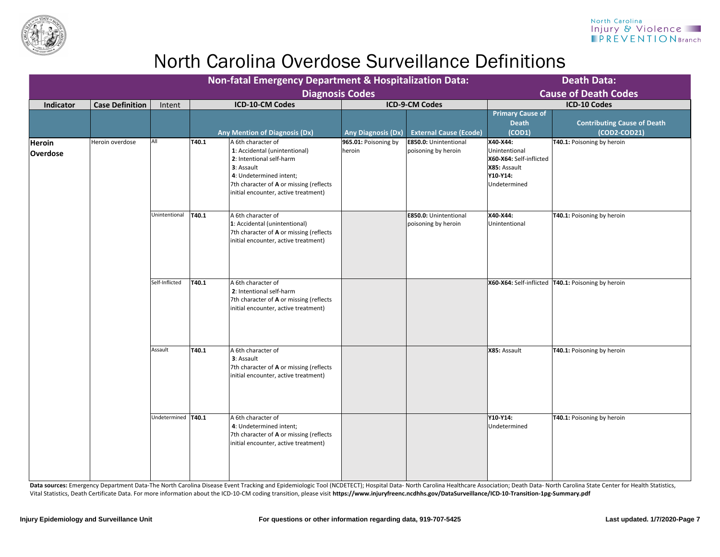

Data sources: Emergency Department Data-The North Carolina Disease Event Tracking and Epidemiologic Tool (NCDETECT); Hospital Data- North Carolina Healthcare Association; Death Data- North Carolina State Center for Health Vital Statistics, Death Certificate Data. For more information about the ICD-10-CM coding transition, please visit **https://www.injuryfreenc.ncdhhs.gov/DataSurveillance/ICD-10-Transition-1pg-Summary.pdf**

| <b>Non-fatal Emergency Department &amp; Hospitalization Data:</b><br><b>Diagnosis Codes</b> |                        |                      |               |                                                                                                                                                                                                             |                                  |                                                     |                                                                                                         | <b>Death Data:</b><br><b>Cause of Death Codes</b>    |
|---------------------------------------------------------------------------------------------|------------------------|----------------------|---------------|-------------------------------------------------------------------------------------------------------------------------------------------------------------------------------------------------------------|----------------------------------|-----------------------------------------------------|---------------------------------------------------------------------------------------------------------|------------------------------------------------------|
| Indicator                                                                                   | <b>Case Definition</b> | Intent               |               | <b>ICD-10-CM Codes</b>                                                                                                                                                                                      |                                  | <b>ICD-9-CM Codes</b>                               |                                                                                                         | <b>ICD-10 Codes</b>                                  |
|                                                                                             |                        |                      |               | <b>Any Mention of Diagnosis (Dx)</b>                                                                                                                                                                        | <b>Any Diagnosis (Dx)</b>        | <b>External Cause (Ecode)</b>                       | <b>Primary Cause of</b><br><b>Death</b><br>(COD1)                                                       | <b>Contributing Cause of Death</b><br>(COD2-COD21)   |
| <b>Heroin</b><br><b>Overdose</b>                                                            | Heroin overdose        | All                  | T40.1         | A 6th character of<br>1: Accidental (unintentional)<br>2: Intentional self-harm<br>3: Assault<br>4: Undetermined intent;<br>7th character of A or missing (reflects<br>initial encounter, active treatment) | $965.01:$ Poisoning by<br>heroin | <b>E850.0: Unintentional</b><br>poisoning by heroin | X40-X44:<br>Unintentional<br>X60-X64: Self-inflicted<br>X85: Assault<br><b>Y10-Y14:</b><br>Undetermined | T40.1: Poisoning by heroin                           |
|                                                                                             |                        | Unintentional        | T40.1         | A 6th character of<br>1: Accidental (unintentional)<br>7th character of A or missing (reflects<br>initial encounter, active treatment)                                                                      |                                  | <b>E850.0: Unintentional</b><br>poisoning by heroin | X40-X44:<br>Unintentional                                                                               | T40.1: Poisoning by heroin                           |
|                                                                                             |                        | Self-Inflicted       | T40.1         | A 6th character of<br>2: Intentional self-harm<br>7th character of A or missing (reflects<br>initial encounter, active treatment)                                                                           |                                  |                                                     |                                                                                                         | X60-X64: Self-inflicted   T40.1: Poisoning by heroin |
|                                                                                             |                        | Assault              | $\vert$ T40.1 | A 6th character of<br>3: Assault<br>7th character of A or missing (reflects<br>initial encounter, active treatment)                                                                                         |                                  |                                                     | X85: Assault                                                                                            | T40.1: Poisoning by heroin                           |
|                                                                                             |                        | Undetermined   T40.1 |               | A 6th character of<br>4: Undetermined intent;<br>7th character of A or missing (reflects<br>initial encounter, active treatment)                                                                            |                                  |                                                     | Y10-Y14:<br>Undetermined                                                                                | T40.1: Poisoning by heroin                           |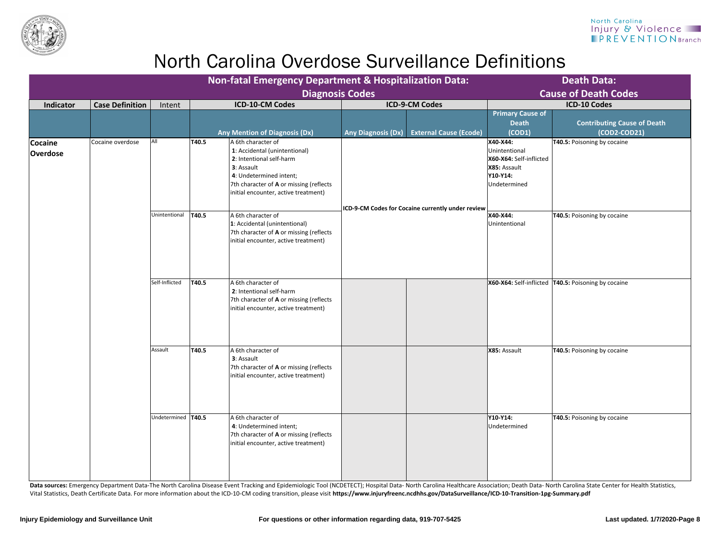

Data sources: Emergency Department Data-The North Carolina Disease Event Tracking and Epidemiologic Tool (NCDETECT); Hospital Data- North Carolina Healthcare Association; Death Data- North Carolina State Center for Health Vital Statistics, Death Certificate Data. For more information about the ICD-10-CM coding transition, please visit **https://www.injuryfreenc.ncdhhs.gov/DataSurveillance/ICD-10-Transition-1pg-Summary.pdf**

|                                   |                        |                     |       | <b>Non-fatal Emergency Department &amp; Hospitalization Data:</b>                                                                                                                                           |                                                                                                                                |                                     |                                                   | <b>Death Data:</b>                                    |
|-----------------------------------|------------------------|---------------------|-------|-------------------------------------------------------------------------------------------------------------------------------------------------------------------------------------------------------------|--------------------------------------------------------------------------------------------------------------------------------|-------------------------------------|---------------------------------------------------|-------------------------------------------------------|
|                                   |                        |                     |       | <b>Diagnosis Codes</b>                                                                                                                                                                                      |                                                                                                                                |                                     |                                                   | <b>Cause of Death Codes</b>                           |
| <b>Indicator</b>                  | <b>Case Definition</b> | Intent              |       | <b>ICD-10-CM Codes</b>                                                                                                                                                                                      |                                                                                                                                | <b>ICD-9-CM Codes</b>               |                                                   | <b>ICD-10 Codes</b>                                   |
|                                   |                        |                     |       | <b>Any Mention of Diagnosis (Dx)</b>                                                                                                                                                                        | <b>Any Diagnosis (Dx)</b>                                                                                                      | <b>External Cause (Ecode)</b>       | <b>Primary Cause of</b><br><b>Death</b><br>(COD1) | <b>Contributing Cause of Death</b><br>(COD2-COD21)    |
| <b>Cocaine</b><br><b>Overdose</b> | Cocaine overdose       | All                 | T40.5 | A 6th character of<br>1: Accidental (unintentional)<br>2: Intentional self-harm<br>3: Assault<br>4: Undetermined intent;<br>7th character of A or missing (reflects<br>initial encounter, active treatment) | Unintentional<br>X85: Assault<br>Y10-Y14:<br>Undetermined<br>$\vert$ ICD-9-CM Codes for Cocaine currently under review $\vert$ | X40-X44:<br>X60-X64: Self-inflicted | <b>T40.5: Poisoning by cocaine</b>                |                                                       |
|                                   |                        | Unintentional       | T40.5 | A 6th character of<br>1: Accidental (unintentional)<br>7th character of A or missing (reflects<br>initial encounter, active treatment)                                                                      |                                                                                                                                |                                     | X40-X44:<br>Unintentional                         | <b>T40.5: Poisoning by cocaine</b>                    |
|                                   |                        | Self-Inflicted      | T40.5 | A 6th character of<br>2: Intentional self-harm<br>7th character of A or missing (reflects<br>initial encounter, active treatment)                                                                           |                                                                                                                                |                                     |                                                   | X60-X64: Self-inflicted   T40.5: Poisoning by cocaine |
|                                   |                        | Assault             | T40.5 | A 6th character of<br>3: Assault<br>7th character of A or missing (reflects<br>initial encounter, active treatment)                                                                                         |                                                                                                                                |                                     | X85: Assault                                      | <b>T40.5: Poisoning by cocaine</b>                    |
|                                   |                        | Undetermined  T40.5 |       | A 6th character of<br>4: Undetermined intent;<br>7th character of A or missing (reflects<br>initial encounter, active treatment)                                                                            |                                                                                                                                |                                     | Y10-Y14:<br>Undetermined                          | <b>T40.5: Poisoning by cocaine</b>                    |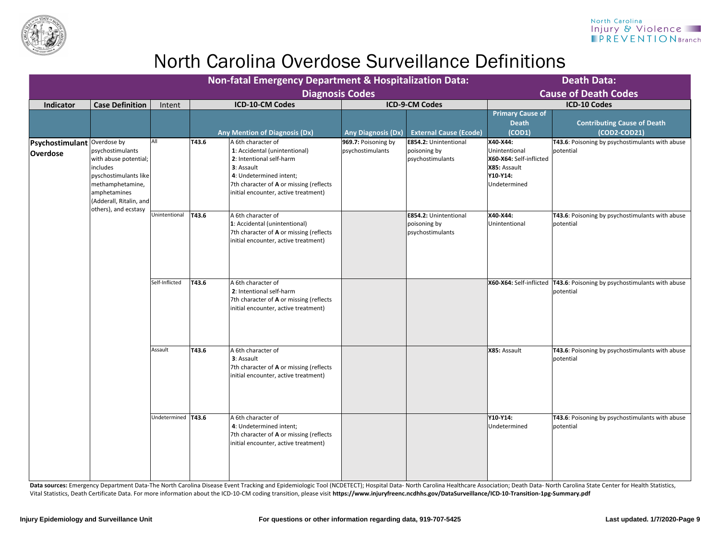

| <b>Diagnosis Code</b> |  |
|-----------------------|--|
|                       |  |

Data sources: Emergency Department Data-The North Carolina Disease Event Tracking and Epidemiologic Tool (NCDETECT); Hospital Data- North Carolina Healthcare Association; Death Data- North Carolina State Center for Health Vital Statistics, Death Certificate Data. For more information about the ICD-10-CM coding transition, please visit **https://www.injuryfreenc.ncdhhs.gov/DataSurveillance/ICD-10-Transition-1pg-Summary.pdf**

|                                                |                                                                                                                                                                       |                      | <b>Non-fatal Emergency Department &amp; Hospitalization Data:</b><br><b>Diagnosis Codes</b> |                                                                                                                                                                                                             |                                         |                                                                  | <b>Death Data:</b><br><b>Cause of Death Codes</b>                                                |                                                                                        |  |
|------------------------------------------------|-----------------------------------------------------------------------------------------------------------------------------------------------------------------------|----------------------|---------------------------------------------------------------------------------------------|-------------------------------------------------------------------------------------------------------------------------------------------------------------------------------------------------------------|-----------------------------------------|------------------------------------------------------------------|--------------------------------------------------------------------------------------------------|----------------------------------------------------------------------------------------|--|
| <b>Case Definition</b><br><b>Indicator</b>     |                                                                                                                                                                       | Intent               |                                                                                             | <b>ICD-10-CM Codes</b>                                                                                                                                                                                      |                                         | <b>ICD-9-CM Codes</b>                                            |                                                                                                  | <b>ICD-10 Codes</b>                                                                    |  |
|                                                |                                                                                                                                                                       |                      |                                                                                             | <b>Any Mention of Diagnosis (Dx)</b>                                                                                                                                                                        | <b>Any Diagnosis (Dx)</b>               | <b>External Cause (Ecode)</b>                                    | <b>Primary Cause of</b><br><b>Death</b><br>(COD1)                                                | <b>Contributing Cause of Death</b><br>(COD2-COD21)                                     |  |
| Psychostimulant Overdose by<br><b>Overdose</b> | psychostimulants<br>with abuse potential;<br>includes<br>pyschostimulants like<br>methamphetamine,<br>amphetamines<br>(Adderall, Ritalin, and<br>others), and ecstasy | All                  | T43.6                                                                                       | A 6th character of<br>1: Accidental (unintentional)<br>2: Intentional self-harm<br>3: Assault<br>4: Undetermined intent;<br>7th character of A or missing (reflects<br>initial encounter, active treatment) | 969.7: Poisoning by<br>psychostimulants | <b>E854.2: Unintentional</b><br>poisoning by<br>psychostimulants | X40-X44:<br>Unintentional<br>X60-X64: Self-inflicted<br>X85: Assault<br>Y10-Y14:<br>Undetermined | T43.6: Poisoning by psychostimulants with abuse<br>potential                           |  |
|                                                |                                                                                                                                                                       | Unintentional        | T43.6                                                                                       | A 6th character of<br>1: Accidental (unintentional)<br>7th character of A or missing (reflects<br>initial encounter, active treatment)                                                                      |                                         | <b>E854.2: Unintentional</b><br>poisoning by<br>psychostimulants | X40-X44:<br>Unintentional                                                                        | T43.6: Poisoning by psychostimulants with abuse<br>potential                           |  |
|                                                |                                                                                                                                                                       | Self-Inflicted       | T43.6                                                                                       | A 6th character of<br>2: Intentional self-harm<br>7th character of A or missing (reflects<br>initial encounter, active treatment)                                                                           |                                         |                                                                  |                                                                                                  | X60-X64: Self-inflicted   T43.6: Poisoning by psychostimulants with abuse<br>potential |  |
|                                                |                                                                                                                                                                       | Assault              | T43.6                                                                                       | A 6th character of<br>3: Assault<br>7th character of A or missing (reflects<br>initial encounter, active treatment)                                                                                         |                                         |                                                                  | X85: Assault                                                                                     | T43.6: Poisoning by psychostimulants with abuse<br>potential                           |  |
|                                                |                                                                                                                                                                       | Undetermined   T43.6 |                                                                                             | A 6th character of<br>4: Undetermined intent;<br>7th character of A or missing (reflects<br>initial encounter, active treatment)                                                                            |                                         |                                                                  | Y10-Y14:<br>Undetermined                                                                         | T43.6: Poisoning by psychostimulants with abuse<br>potential                           |  |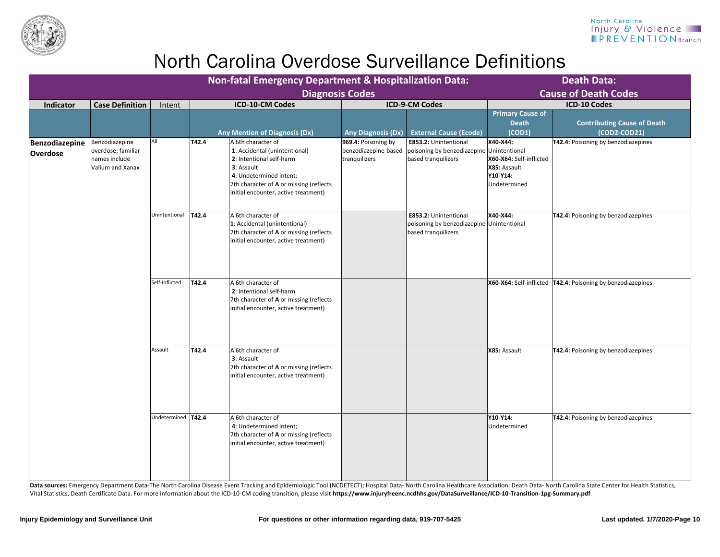

Data sources: Emergency Department Data-The North Carolina Disease Event Tracking and Epidemiologic Tool (NCDETECT); Hospital Data- North Carolina Healthcare Association; Death Data- North Carolina State Center for Health Vital Statistics, Death Certificate Data. For more information about the ICD-10-CM coding transition, please visit **https://www.injuryfreenc.ncdhhs.gov/DataSurveillance/ICD-10-Transition-1pg-Summary.pdf**

| <b>Non-fatal Emergency Department &amp; Hospitalization Data:</b> |                                                                           |                     |                        |                                                                                                                                                                                                             |                                                              | <b>Death Data:</b>                                                                               |                                                                                 |                                                               |  |
|-------------------------------------------------------------------|---------------------------------------------------------------------------|---------------------|------------------------|-------------------------------------------------------------------------------------------------------------------------------------------------------------------------------------------------------------|--------------------------------------------------------------|--------------------------------------------------------------------------------------------------|---------------------------------------------------------------------------------|---------------------------------------------------------------|--|
|                                                                   | <b>Diagnosis Codes</b>                                                    |                     |                        |                                                                                                                                                                                                             |                                                              |                                                                                                  | <b>Cause of Death Codes</b>                                                     |                                                               |  |
| <b>Case Definition</b><br><b>Indicator</b><br>Intent              |                                                                           |                     | <b>ICD-10-CM Codes</b> | <b>ICD-9-CM Codes</b>                                                                                                                                                                                       |                                                              | <b>ICD-10 Codes</b>                                                                              |                                                                                 |                                                               |  |
|                                                                   |                                                                           |                     |                        | <b>Any Mention of Diagnosis (Dx)</b>                                                                                                                                                                        | <b>Any Diagnosis (Dx)</b>                                    | <b>External Cause (Ecode)</b>                                                                    | <b>Primary Cause of</b><br><b>Death</b><br>(COD1)                               | <b>Contributing Cause of Death</b><br>$(COD2-COD21)$          |  |
| Benzodiazepine<br><b>Overdose</b>                                 | Benzodiazepine<br>overdose; familiar<br>names include<br>Valium and Xanax | All                 | T42.4                  | A 6th character of<br>1: Accidental (unintentional)<br>2: Intentional self-harm<br>3: Assault<br>4: Undetermined intent;<br>7th character of A or missing (reflects<br>initial encounter, active treatment) | 969.4: Poisoning by<br>benzodiazepine-based<br>tranquilizers | E853.2: Unintentional<br>poisoning by benzodiazepine-Unintentional<br>based tranquilizers        | X40-X44:<br>X60-X64: Self-inflicted<br>X85: Assault<br>Y10-Y14:<br>Undetermined | <b>T42.4:</b> Poisoning by benzodiazepines                    |  |
|                                                                   |                                                                           | Unintentional       | T42.4                  | A 6th character of<br>1: Accidental (unintentional)<br>7th character of A or missing (reflects<br>initial encounter, active treatment)                                                                      |                                                              | <b>E853.2: Unintentional</b><br>poisoning by benzodiazepine-Unintentional<br>based tranquilizers | X40-X44:                                                                        | <b>T42.4: Poisoning by benzodiazepines</b>                    |  |
|                                                                   |                                                                           | Self-Inflicted      | T42.4                  | A 6th character of<br>2: Intentional self-harm<br>7th character of A or missing (reflects<br>initial encounter, active treatment)                                                                           |                                                              |                                                                                                  |                                                                                 | X60-X64: Self-inflicted   T42.4: Poisoning by benzodiazepines |  |
|                                                                   |                                                                           | Assault             | T42.4                  | A 6th character of<br>3: Assault<br>7th character of A or missing (reflects<br>initial encounter, active treatment)                                                                                         |                                                              |                                                                                                  | X85: Assault                                                                    | <b>T42.4: Poisoning by benzodiazepines</b>                    |  |
|                                                                   |                                                                           | Undetermined  T42.4 |                        | A 6th character of<br>4: Undetermined intent;<br>7th character of A or missing (reflects<br>initial encounter, active treatment)                                                                            |                                                              |                                                                                                  | Y10-Y14:<br>Undetermined                                                        | <b>T42.4: Poisoning by benzodiazepines</b>                    |  |